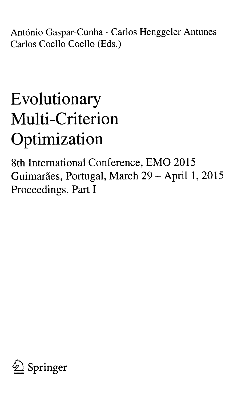António Gaspar-Cunha · Carlos Henggeler Antunes Carlos Coello Coello (Eds.)

## Evolutionary Multi-Criterion Optimization

8th International Conference, EMO <sup>2015</sup> Guimarães, Portugal, March 29 - April 1, 2015 Proceedings, Part <sup>I</sup>

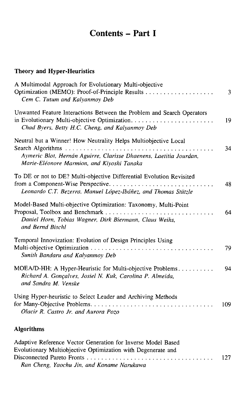## Contents - Part <sup>I</sup>

## Theory and Hyper-Heuristics

| A Multimodal Approach for Evolutionary Multi-objective<br>Cem C. Tutum and Kalyanmoy Deb                                                                                            | 3   |
|-------------------------------------------------------------------------------------------------------------------------------------------------------------------------------------|-----|
| Unwanted Feature Interactions Between the Problem and Search Operators<br>Chad Byers, Betty H.C. Cheng, and Kalyanmov Deb                                                           | 19  |
| Neutral but a Winner! How Neutrality Helps Multiobjective Local<br>Aymeric Blot, Hernán Aguirre, Clarisse Dhaenens, Laetitia Jourdan,<br>Marie-Eléonore Marmion, and Kiyoshi Tanaka | 34  |
| To DE or not to DE? Multi-objective Differential Evolution Revisited<br>from a Component-Wise Perspective<br>Leonardo C.T. Bezerra, Manuel López-Ibáñez, and Thomas Stützle         | 48  |
| Model-Based Multi-objective Optimization: Taxonomy, Multi-Point<br>Daniel Horn, Tobias Wagner, Dirk Biermann, Claus Weihs,<br>and Bernd Bischl                                      | 64  |
| Temporal Innovization: Evolution of Design Principles Using<br>Sunith Bandaru and Kalyanmoy Deb                                                                                     | 79  |
| MOEA/D-HH: A Hyper-Heuristic for Multi-objective Problems<br>Richard A. Gonçalves, Josiel N. Kuk, Carolina P. Almeida,<br>and Sandra M. Venske                                      | 94  |
| Using Hyper-heuristic to Select Leader and Archiving Methods<br>Olacir R. Castro Jr. and Aurora Pozo                                                                                | 109 |
|                                                                                                                                                                                     |     |

## Algorithms

| Adaptive Reference Vector Generation for Inverse Model Based |       |
|--------------------------------------------------------------|-------|
| Evolutionary Multiobjective Optimization with Degenerate and |       |
|                                                              | - 127 |
| Ran Cheng, Yaochu Jin, and Kaname Narukawa                   |       |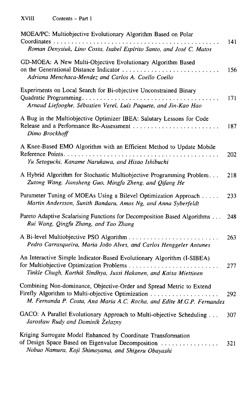| MOEA/PC: Multiobjective Evolutionary Algorithm Based on Polar<br>Coordinates<br>Roman Denysiuk, Lino Costa, Isabel Espírito Santo, and José C. Matos                     | 141 |
|--------------------------------------------------------------------------------------------------------------------------------------------------------------------------|-----|
| GD-MOEA: A New Multi-Objective Evolutionary Algorithm Based<br>Adriana Menchaca-Mendez and Carlos A. Coello Coello                                                       | 156 |
| Experiments on Local Search for Bi-objective Unconstrained Binary<br>Arnaud Liefooghe, Sébastien Verel, Luís Paquete, and Jin-Kao Hao                                    | 171 |
| A Bug in the Multiobjective Optimizer IBEA: Salutary Lessons for Code<br>Release and a Performance Re-Assessment<br>Dimo Brockhoff                                       | 187 |
| A Knee-Based EMO Algorithm with an Efficient Method to Update Mobile<br>Yu Setoguchi, Kaname Narukawa, and Hisao Ishibuchi                                               | 202 |
| A Hybrid Algorithm for Stochastic Multiobjective Programming Problem<br>Zutong Wang, Jiansheng Guo, Mingfa Zheng, and Qifang He                                          | 218 |
| Parameter Tuning of MOEAs Using a Bilevel Optimization Approach<br>Martin Andersson, Sunith Bandaru, Amos Ng, and Anna Syberfeldt                                        | 233 |
| Pareto Adaptive Scalarising Functions for Decomposition Based Algorithms<br>Rui Wang, Qingfu Zhang, and Tao Zhang                                                        | 248 |
| Pedro Carrasqueira, Maria João Alves, and Carlos Henggeler Antunes                                                                                                       | 263 |
| An Interactive Simple Indicator-Based Evolutionary Algorithm (I-SIBEA)<br>Tinkle Chugh, Karthik Sindhya, Jussi Hakanen, and Kaisa Miettinen                              | 277 |
| Combining Non-dominance, Objective-Order and Spread Metric to Extend<br>M. Fernanda P. Costa, Ana Maria A.C. Rocha, and Edite M.G.P. Fernandes                           | 292 |
| GACO: A Parallel Evolutionary Approach to Multi-objective Scheduling<br>Jarosław Rudy and Dominik Zelazny                                                                | 307 |
| Kriging Surrogate Model Enhanced by Coordinate Transformation<br>of Design Space Based on Eigenvalue Decomposition<br>Nobuo Namura, Koji Shimoyama, and Shigeru Obayashi | 321 |